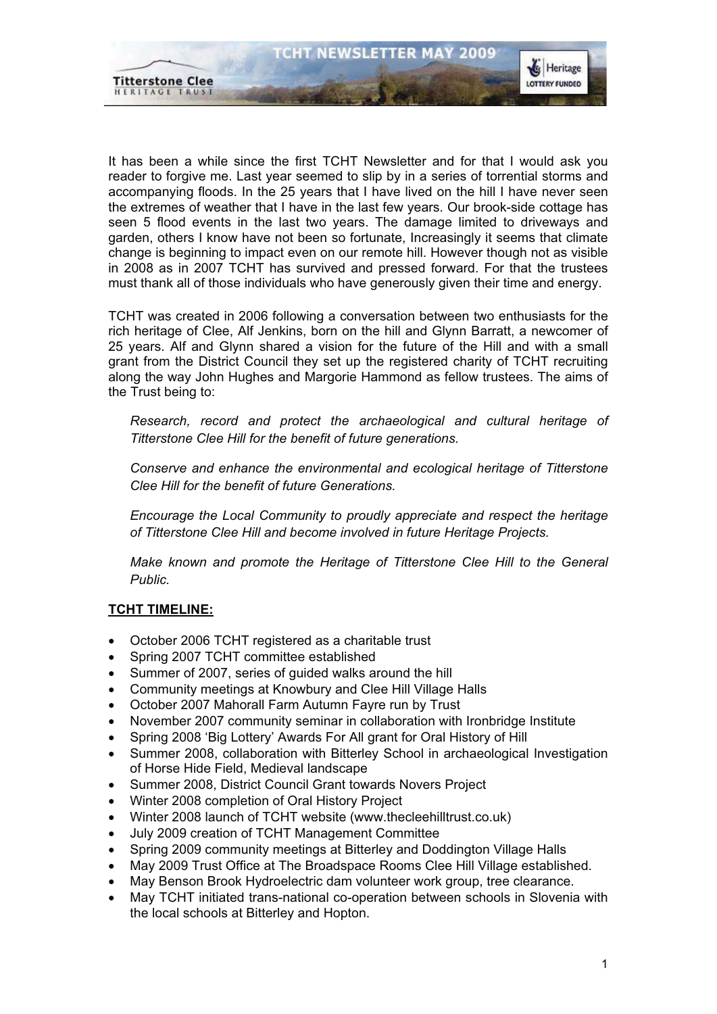

It has been a while since the first TCHT Newsletter and for that I would ask you reader to forgive me. Last year seemed to slip by in a series of torrential storms and accompanying floods. In the 25 years that I have lived on the hill I have never seen the extremes of weather that I have in the last few years. Our brook-side cottage has seen 5 flood events in the last two years. The damage limited to driveways and garden, others I know have not been so fortunate, Increasingly it seems that climate change is beginning to impact even on our remote hill. However though not as visible in 2008 as in 2007 TCHT has survived and pressed forward. For that the trustees must thank all of those individuals who have generously given their time and energy.

TCHT was created in 2006 following a conversation between two enthusiasts for the rich heritage of Clee, Alf Jenkins, born on the hill and Glynn Barratt, a newcomer of 25 years. Alf and Glynn shared a vision for the future of the Hill and with a small grant from the District Council they set up the registered charity of TCHT recruiting along the way John Hughes and Margorie Hammond as fellow trustees. The aims of the Trust being to:

*Research, record and protect the archaeological and cultural heritage of Titterstone Clee Hill for the benefit of future generations.*

*Conserve and enhance the environmental and ecological heritage of Titterstone Clee Hill for the benefit of future Generations.*

*Encourage the Local Community to proudly appreciate and respect the heritage of Titterstone Clee Hill and become involved in future Heritage Projects.*

*Make known and promote the Heritage of Titterstone Clee Hill to the General Public.*

### **TCHT TIMELINE:**

- $\bullet$ October 2006 TCHT registered as a charitable trust
- $\bullet$ Spring 2007 TCHT committee established
- $\bullet$ Summer of 2007, series of guided walks around the hill
- $\bullet$ Community meetings at Knowbury and Clee Hill Village Halls
- $\bullet$ October 2007 Mahorall Farm Autumn Fayre run by Trust
- $\bullet$ November 2007 community seminar in collaboration with Ironbridge Institute
- $\bullet$ Spring 2008 'Big Lottery' Awards For All grant for Oral History of Hill
- $\bullet$  Summer 2008, collaboration with Bitterley School in archaeological Investigation of Horse Hide Field, Medieval landscape
- $\bullet$ Summer 2008, District Council Grant towards Novers Project
- $\bullet$ Winter 2008 completion of Oral History Project
- $\bullet$ Winter 2008 launch of TCHT website (www.thecleehilltrust.co.uk)
- $\bullet$ July 2009 creation of TCHT Management Committee
- $\bullet$ Spring 2009 community meetings at Bitterley and Doddington Village Halls
- $\bullet$ May 2009 Trust Office at The Broadspace Rooms Clee Hill Village established.
- $\bullet$ May Benson Brook Hydroelectric dam volunteer work group, tree clearance.
- $\bullet$  May TCHT initiated trans-national co-operation between schools in Slovenia with the local schools at Bitterley and Hopton.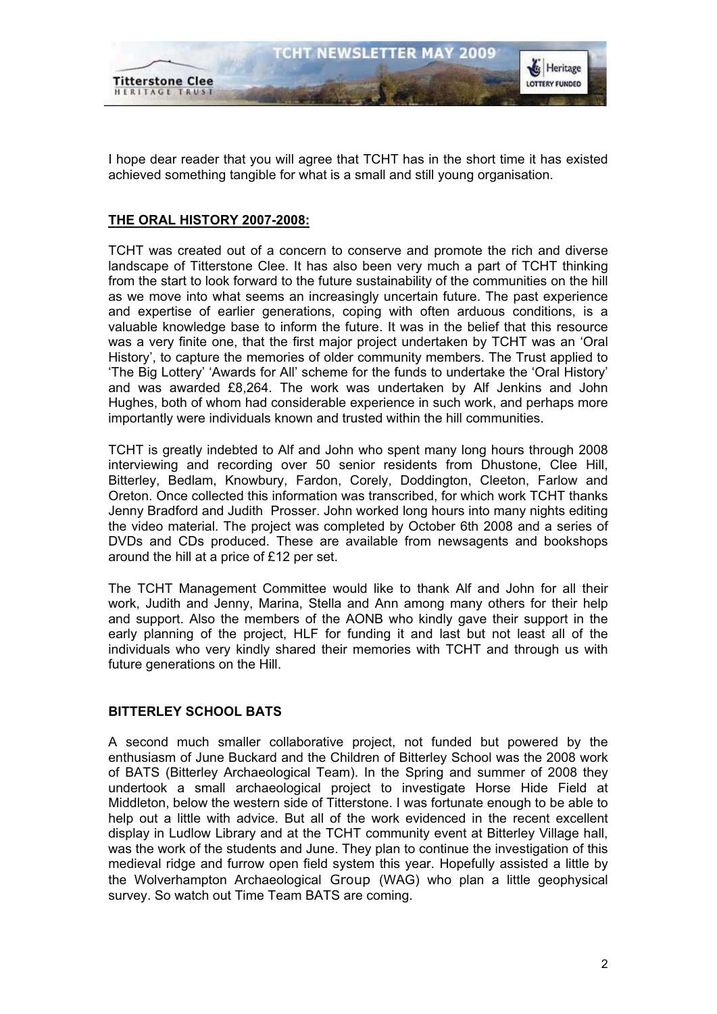

Heritage

**LOTTERY FUNDED** 

I hope dear reader that you will agree that TCHT has in the short time it has existed achieved something tangible for what is a small and still young organisation.

#### **THE ORAL HISTORY 2007-2008:**

**Titterstone Clee** 

HERITAGE TRUST

TCHT was created out of a concern to conserve and promote the rich and diverse landscape of Titterstone Clee. It has also been very much a part of TCHT thinking from the start to look forward to the future sustainability of the communities on the hill as we move into what seems an increasingly uncertain future. The past experience and expertise of earlier generations, coping with often arduous conditions, is a valuable knowledge base to inform the future. It was in the belief that this resource was a very finite one, that the first major project undertaken by TCHT was an 'Oral History', to capture the memories of older community members. The Trust applied to 'The Big Lottery' 'Awards for All' scheme for the funds to undertake the 'Oral History' and was awarded £8,264. The work was undertaken by Alf Jenkins and John Hughes, both of whom had considerable experience in such work, and perhaps more importantly were individuals known and trusted within the hill communities.

TCHT is greatly indebted to Alf and John who spent many long hours through 2008 interviewing and recording over 50 senior residents from Dhustone, Clee Hill, Bitterley, Bedlam, Knowbury, Fardon, Corely, Doddington, Cleeton, Farlow and Oreton. Once collected this information was transcribed, for which work TCHT thanks Jenny Bradford and Judith Prosser. John worked long hours into many nights editing the video material. The project was completed by October 6th 2008 and a series of DVDs and CDs produced. These are available from newsagents and bookshops around the hill at a price of £12 per set.

The TCHT Management Committee would like to thank Alf and John for all their work, Judith and Jenny, Marina, Stella and Ann among many others for their help and support. Also the members of the AONB who kindly gave their support in the early planning of the project, HLF for funding it and last but not least all of the individuals who very kindly shared their memories with TCHT and through us with future generations on the Hill.

#### **BITTERLEY SCHOOL BATS**

A second much smaller collaborative project, not funded but powered by the enthusiasm of June Buckard and the Children of Bitterley School was the 2008 work of BATS (Bitterley Archaeological Team). In the Spring and summer of 2008 they undertook a small archaeological project to investigate Horse Hide Field at Middleton, below the western side of Titterstone. I was fortunate enough to be able to help out a little with advice. But all of the work evidenced in the recent excellent display in Ludlow Library and at the TCHT community event at Bitterley Village hall, was the work of the students and June. They plan to continue the investigation of this medieval ridge and furrow open field system this year. Hopefully assisted a little by the Wolverhampton Archaeological Group (WAG) who plan a little geophysical survey. So watch out Time Team BATS are coming.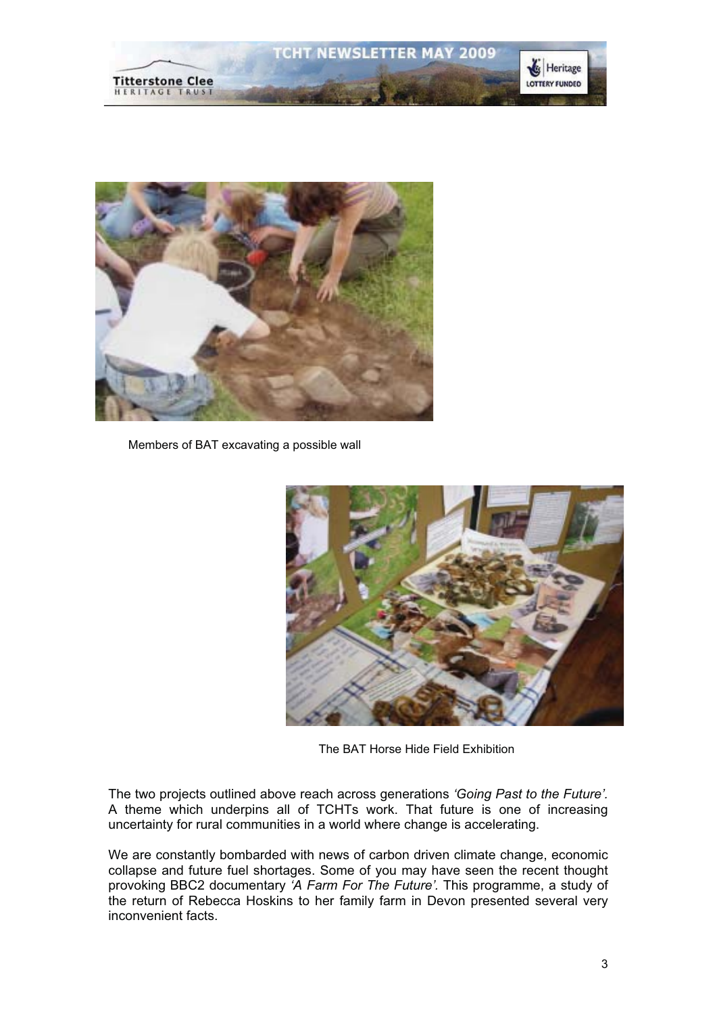



Members of BAT excavating a possible wall



The BAT Horse Hide Field Exhibition

The two projects outlined above reach across generations *'Going Past to the Future'.* A theme which underpins all of TCHTs work. That future is one of increasing uncertainty for rural communities in a world where change is accelerating.

We are constantly bombarded with news of carbon driven climate change, economic collapse and future fuel shortages. Some of you may have seen the recent thought provoking BBC2 documentary *'A Farm For The Future'.* This programme, a study of the return of Rebecca Hoskins to her family farm in Devon presented several very inconvenient facts.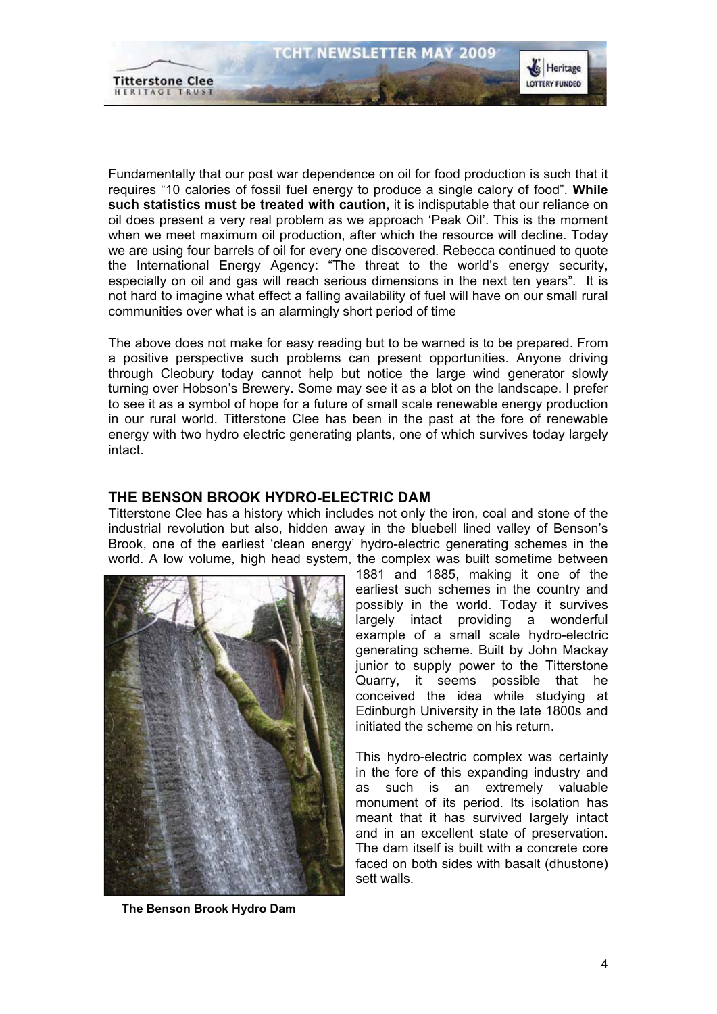

Fundamentally that our post war dependence on oil for food production is such that it requires "10 calories of fossil fuel energy to produce a single calory of food". **While such statistics must be treated with caution,** it is indisputable that our reliance on oil does present a very real problem as we approach 'Peak Oil'. This is the moment when we meet maximum oil production, after which the resource will decline. Today we are using four barrels of oil for every one discovered. Rebecca continued to quote the International Energy Agency: "The threat to the world's energy security, especially on oil and gas will reach serious dimensions in the next ten years". It is not hard to imagine what effect a falling availability of fuel will have on our small rural communities over what is an alarmingly short period of time

The above does not make for easy reading but to be warned is to be prepared. From a positive perspective such problems can present opportunities. Anyone driving through Cleobury today cannot help but notice the large wind generator slowly turning over Hobson's Brewery. Some may see it as a blot on the landscape. I prefer to see it as a symbol of hope for a future of small scale renewable energy production in our rural world. Titterstone Clee has been in the past at the fore of renewable energy with two hydro electric generating plants, one of which survives today largely intact.

# **THE BENSON BROOK HYDRO-ELECTRIC DAM**

Titterstone Clee has a history which includes not only the iron, coal and stone of the industrial revolution but also, hidden away in the bluebell lined valley of Benson's Brook, one of the earliest 'clean energy' hydro-electric generating schemes in the world. A low volume, high head system, the complex was built sometime between



 **The Benson Brook Hydro Dam**

1881 and 1885, making it one of the earliest such schemes in the country and possibly in the world. Today it survives largely intact providing a wonderful example of a small scale hydro-electric generating scheme. Built by John Mackay junior to supply power to the Titterstone Quarry, it seems possible that he conceived the idea while studying at Edinburgh University in the late 1800s and initiated the scheme on his return.

This hydro-electric complex was certainly in the fore of this expanding industry and as such is an extremely valuable monument of its period. Its isolation has meant that it has survived largely intact and in an excellent state of preservation. The dam itself is built with a concrete core faced on both sides with basalt (dhustone) sett walls.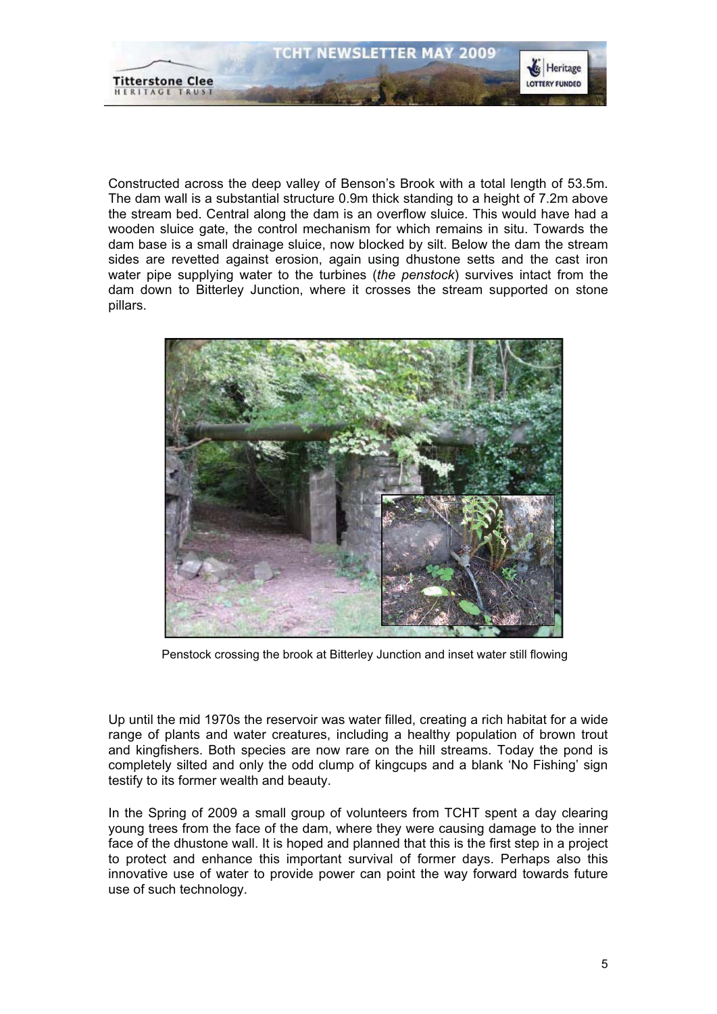

Constructed across the deep valley of Benson's Brook with a total length of 53.5m. The dam wall is a substantial structure 0.9m thick standing to a height of 7.2m above the stream bed. Central along the dam is an overflow sluice. This would have had a wooden sluice gate, the control mechanism for which remains in situ. Towards the dam base is a small drainage sluice, now blocked by silt. Below the dam the stream sides are revetted against erosion, again using dhustone setts and the cast iron water pipe supplying water to the turbines (*the penstock*) survives intact from the dam down to Bitterley Junction, where it crosses the stream supported on stone pillars.



Penstock crossing the brook at Bitterley Junction and inset water still flowing

Up until the mid 1970s the reservoir was water filled, creating a rich habitat for a wide range of plants and water creatures, including a healthy population of brown trout and kingfishers. Both species are now rare on the hill streams. Today the pond is completely silted and only the odd clump of kingcups and a blank 'No Fishing' sign testify to its former wealth and beauty.

In the Spring of 2009 a small group of volunteers from TCHT spent a day clearing young trees from the face of the dam, where they were causing damage to the inner face of the dhustone wall. It is hoped and planned that this is the first step in a project to protect and enhance this important survival of former days. Perhaps also this innovative use of water to provide power can point the way forward towards future use of such technology.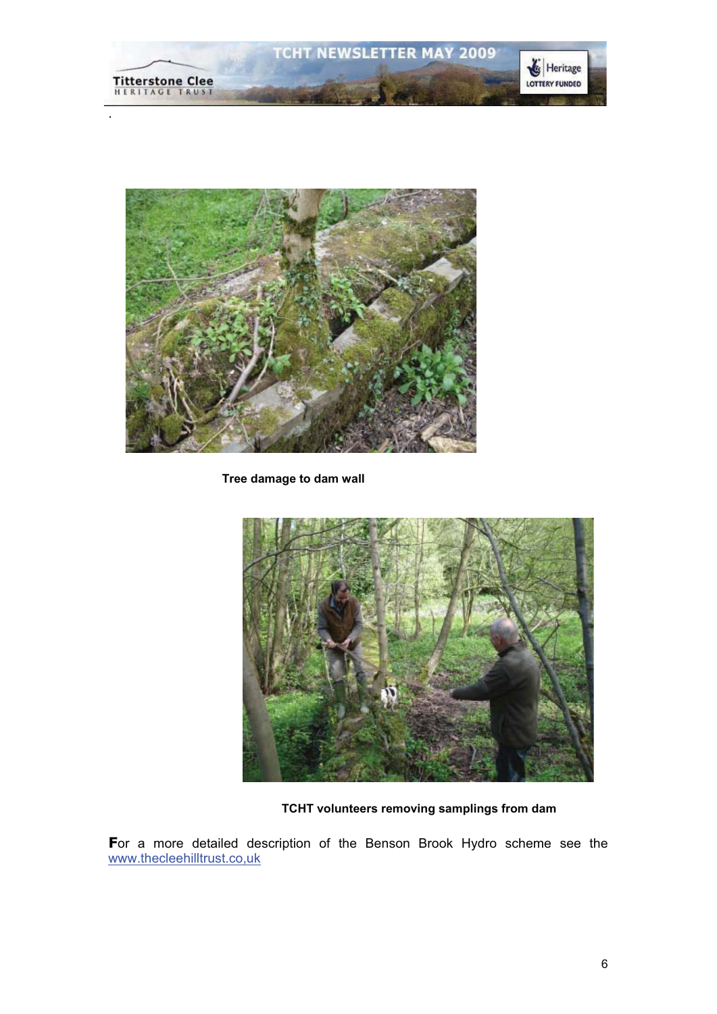



 **Tree damage to dam wall**



**TCHT volunteers removing samplings from dam**

**F**or a more detailed description of the Benson Brook Hydro scheme see the www.thecleehilltrust.co,uk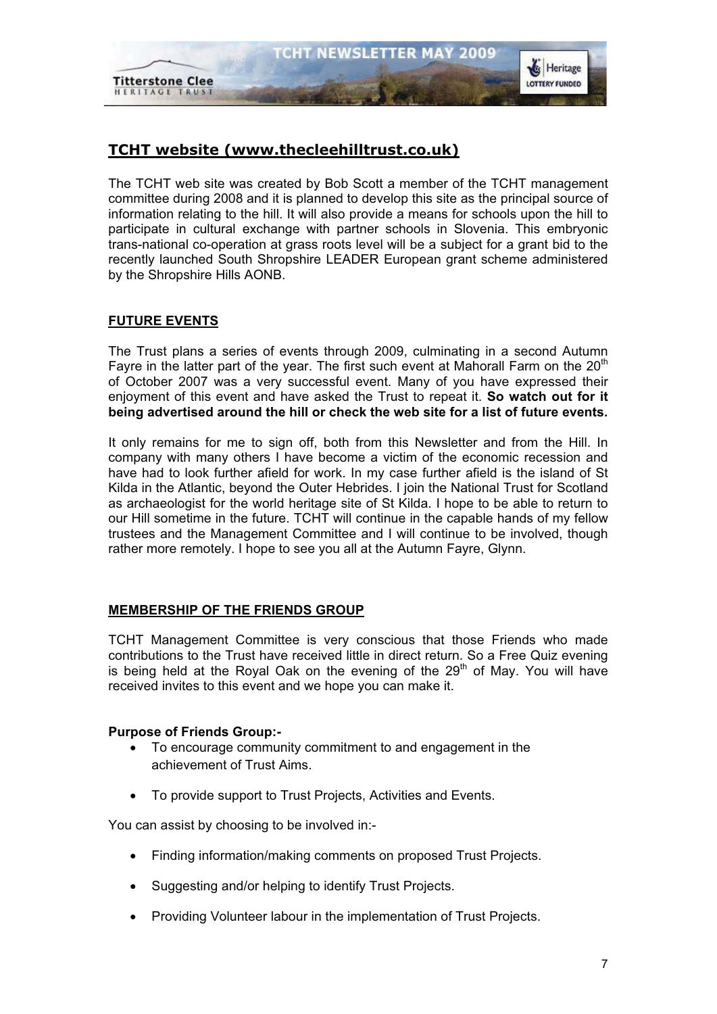

# **TCHT website (www.thecleehilltrust.co.uk)**

The TCHT web site was created by Bob Scott a member of the TCHT management committee during 2008 and it is planned to develop this site as the principal source of information relating to the hill. It will also provide a means for schools upon the hill to participate in cultural exchange with partner schools in Slovenia. This embryonic trans-national co-operation at grass roots level will be a subject for a grant bid to the recently launched South Shropshire LEADER European grant scheme administered by the Shropshire Hills AONB.

# **FUTURE EVENTS**

The Trust plans a series of events through 2009, culminating in a second Autumn Fayre in the latter part of the year. The first such event at Mahorall Farm on the  $20<sup>th</sup>$ of October 2007 was a very successful event. Many of you have expressed their enjoyment of this event and have asked the Trust to repeat it. **So watch out for it being advertised around the hill or check the web site for a list of future events.**

It only remains for me to sign off, both from this Newsletter and from the Hill. In company with many others I have become a victim of the economic recession and have had to look further afield for work. In my case further afield is the island of St Kilda in the Atlantic, beyond the Outer Hebrides. I join the National Trust for Scotland as archaeologist for the world heritage site of St Kilda. I hope to be able to return to our Hill sometime in the future. TCHT will continue in the capable hands of my fellow trustees and the Management Committee and I will continue to be involved, though rather more remotely. I hope to see you all at the Autumn Fayre, Glynn.

# **MEMBERSHIP OF THE FRIENDS GROUP**

TCHT Management Committee is very conscious that those Friends who made contributions to the Trust have received little in direct return. So a Free Quiz evening is being held at the Royal Oak on the evening of the  $29<sup>th</sup>$  of May. You will have received invites to this event and we hope you can make it.

### **Purpose of Friends Group:-**

- $\bullet$  To encourage community commitment to and engagement in the achievement of Trust Aims.
- To provide support to Trust Projects, Activities and Events.

You can assist by choosing to be involved in:-

- $\bullet$ Finding information/making comments on proposed Trust Projects.
- $\bullet$ Suggesting and/or helping to identify Trust Projects.
- $\bullet$ Providing Volunteer labour in the implementation of Trust Projects.